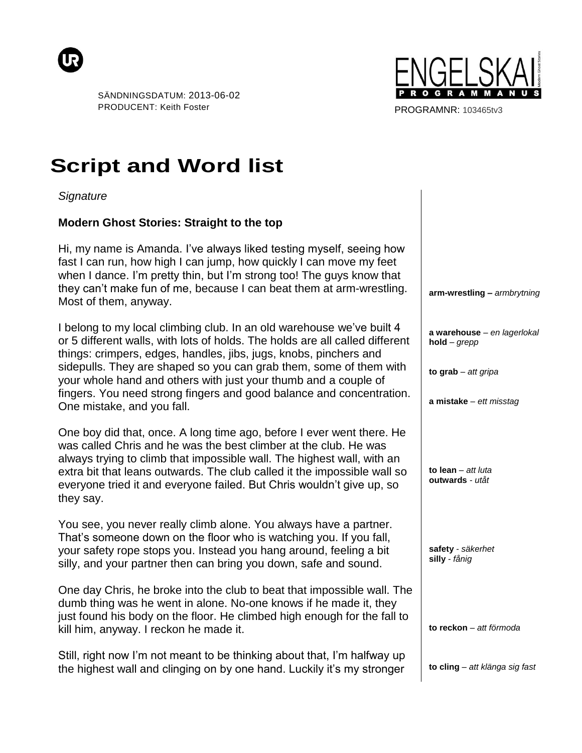



PROGRAMNR: 103465tv3

## **Script and Word list**

*Signature*

## **Modern Ghost Stories: Straight to the top**

Hi, my name is Amanda. I've always liked testing myself, seeing how fast I can run, how high I can jump, how quickly I can move my feet when I dance. I'm pretty thin, but I'm strong too! The guys know that they can't make fun of me, because I can beat them at arm-wrestling. Most of them, anyway.

I belong to my local climbing club. In an old warehouse we've built 4 or 5 different walls, with lots of holds. The holds are all called different things: crimpers, edges, handles, jibs, jugs, knobs, pinchers and sidepulls. They are shaped so you can grab them, some of them with your whole hand and others with just your thumb and a couple of fingers. You need strong fingers and good balance and concentration. One mistake, and you fall.

One boy did that, once. A long time ago, before I ever went there. He was called Chris and he was the best climber at the club. He was always trying to climb that impossible wall. The highest wall, with an extra bit that leans outwards. The club called it the impossible wall so everyone tried it and everyone failed. But Chris wouldn't give up, so they say.

You see, you never really climb alone. You always have a partner. That's someone down on the floor who is watching you. If you fall, your safety rope stops you. Instead you hang around, feeling a bit silly, and your partner then can bring you down, safe and sound.

One day Chris, he broke into the club to beat that impossible wall. The dumb thing was he went in alone. No-one knows if he made it, they just found his body on the floor. He climbed high enough for the fall to kill him, anyway. I reckon he made it.

Still, right now I'm not meant to be thinking about that, I'm halfway up the highest wall and clinging on by one hand. Luckily it's my stronger

**arm-wrestling –** *armbrytning*

**a warehouse** *– en lagerlokal* **hold** *– grepp*

**to grab** *– att gripa*

**a mistake** *– ett misstag*

**to lean** *– att luta* **outwards** *- utåt*

**safety** *- säkerhet* **silly** *- fånig*

**to reckon** *– att förmoda*

**to cling** *– att klänga sig fast*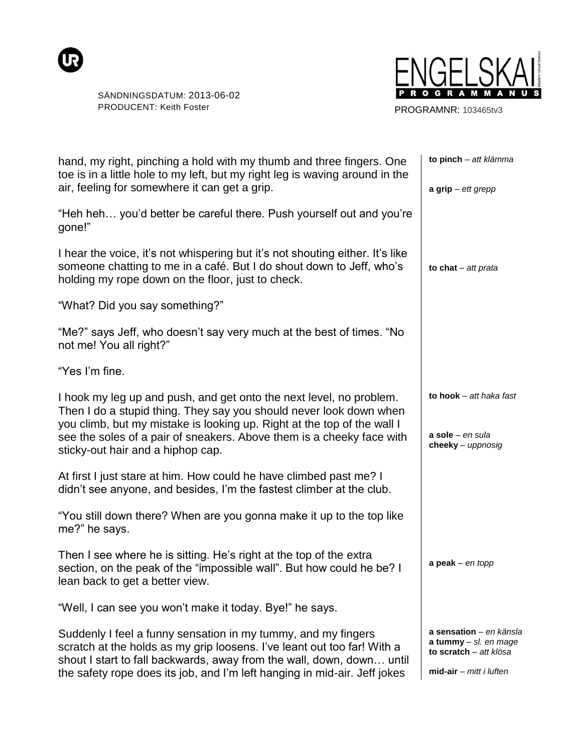



PROGRAMNR: 103465tv3

| hand, my right, pinching a hold with my thumb and three fingers. One<br>toe is in a little hole to my left, but my right leg is waving around in the<br>air, feeling for somewhere it can get a grip.                                                                                                                              | to pinch - att klämma<br>$a$ grip – ett grepp                                                           |
|------------------------------------------------------------------------------------------------------------------------------------------------------------------------------------------------------------------------------------------------------------------------------------------------------------------------------------|---------------------------------------------------------------------------------------------------------|
| "Heh heh you'd better be careful there. Push yourself out and you're<br>gone!"                                                                                                                                                                                                                                                     |                                                                                                         |
| I hear the voice, it's not whispering but it's not shouting either. It's like<br>someone chatting to me in a café. But I do shout down to Jeff, who's<br>holding my rope down on the floor, just to check.                                                                                                                         | to $\text{chat} - \text{att}$ prata                                                                     |
| "What? Did you say something?"                                                                                                                                                                                                                                                                                                     |                                                                                                         |
| "Me?" says Jeff, who doesn't say very much at the best of times. "No<br>not me! You all right?"                                                                                                                                                                                                                                    |                                                                                                         |
| "Yes I'm fine.                                                                                                                                                                                                                                                                                                                     |                                                                                                         |
| I hook my leg up and push, and get onto the next level, no problem.<br>Then I do a stupid thing. They say you should never look down when<br>you climb, but my mistake is looking up. Right at the top of the wall I<br>see the soles of a pair of sneakers. Above them is a cheeky face with<br>sticky-out hair and a hiphop cap. | to hook $-$ att haka fast<br>$a$ sole – en sula<br>cheeky - uppnosig                                    |
| At first I just stare at him. How could he have climbed past me? I<br>didn't see anyone, and besides, I'm the fastest climber at the club.                                                                                                                                                                                         |                                                                                                         |
| "You still down there? When are you gonna make it up to the top like<br>me?" he says.                                                                                                                                                                                                                                              |                                                                                                         |
| Then I see where he is sitting. He's right at the top of the extra<br>section, on the peak of the "impossible wall". But how could he be? I<br>lean back to get a better view.                                                                                                                                                     | $a$ peak - en topp                                                                                      |
| "Well, I can see you won't make it today. Bye!" he says.                                                                                                                                                                                                                                                                           |                                                                                                         |
| Suddenly I feel a funny sensation in my tummy, and my fingers<br>scratch at the holds as my grip loosens. I've leant out too far! With a<br>shout I start to fall backwards, away from the wall, down, down until<br>the safety rope does its job, and I'm left hanging in mid-air. Jeff jokes                                     | a sensation - en känsla<br>a tummy - sl. en mage<br>to scratch - att klösa<br>$mid-air - mitt$ i luften |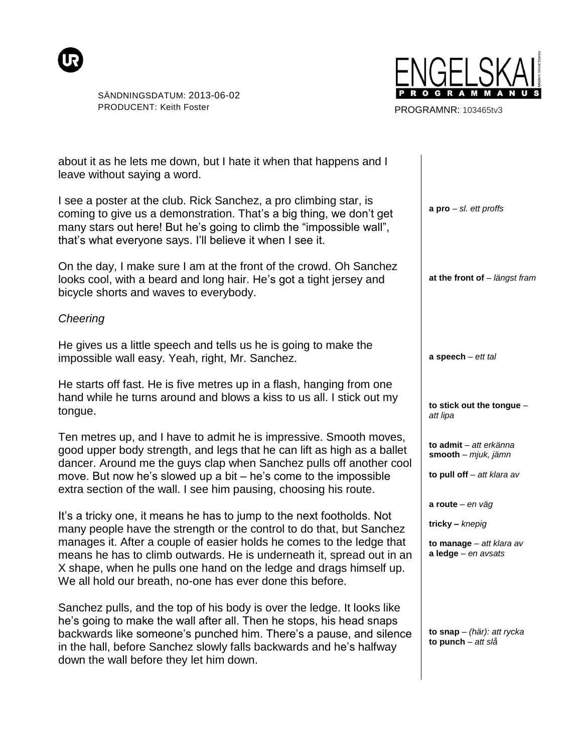



PROGRAMNR: 103465tv3

| about it as he lets me down, but I hate it when that happens and I<br>leave without saying a word.                                                                                                                                                                                                                                                                                                                                 |                                                                                               |
|------------------------------------------------------------------------------------------------------------------------------------------------------------------------------------------------------------------------------------------------------------------------------------------------------------------------------------------------------------------------------------------------------------------------------------|-----------------------------------------------------------------------------------------------|
| I see a poster at the club. Rick Sanchez, a pro climbing star, is<br>coming to give us a demonstration. That's a big thing, we don't get<br>many stars out here! But he's going to climb the "impossible wall",<br>that's what everyone says. I'll believe it when I see it.                                                                                                                                                       | $a pro - sl.$ ett proffs                                                                      |
| On the day, I make sure I am at the front of the crowd. Oh Sanchez<br>looks cool, with a beard and long hair. He's got a tight jersey and<br>bicycle shorts and waves to everybody.                                                                                                                                                                                                                                                | at the front of - längst fram                                                                 |
| Cheering                                                                                                                                                                                                                                                                                                                                                                                                                           |                                                                                               |
| He gives us a little speech and tells us he is going to make the<br>impossible wall easy. Yeah, right, Mr. Sanchez.                                                                                                                                                                                                                                                                                                                | $a$ speech $-$ ett tal                                                                        |
| He starts off fast. He is five metres up in a flash, hanging from one<br>hand while he turns around and blows a kiss to us all. I stick out my<br>tongue.                                                                                                                                                                                                                                                                          | to stick out the tongue -<br>att lipa                                                         |
| Ten metres up, and I have to admit he is impressive. Smooth moves,<br>good upper body strength, and legs that he can lift as high as a ballet<br>dancer. Around me the guys clap when Sanchez pulls off another cool<br>move. But now he's slowed up a bit – he's come to the impossible<br>extra section of the wall. I see him pausing, choosing his route.                                                                      | to admit - att erkänna<br>smooth - mjuk, jämn<br>to pull off - att klara av                   |
| It's a tricky one, it means he has to jump to the next footholds. Not<br>many people have the strength or the control to do that, but Sanchez<br>manages it. After a couple of easier holds he comes to the ledge that<br>means he has to climb outwards. He is underneath it, spread out in an<br>X shape, when he pulls one hand on the ledge and drags himself up.<br>We all hold our breath, no-one has ever done this before. | a route $-$ en väg<br>$tricky - kneping$<br>to manage $-$ att klara av<br>a ledge - en avsats |
| Sanchez pulls, and the top of his body is over the ledge. It looks like<br>he's going to make the wall after all. Then he stops, his head snaps<br>backwards like someone's punched him. There's a pause, and silence<br>in the hall, before Sanchez slowly falls backwards and he's halfway<br>down the wall before they let him down.                                                                                            | to snap $-$ (här): att rycka<br>to punch - att slå                                            |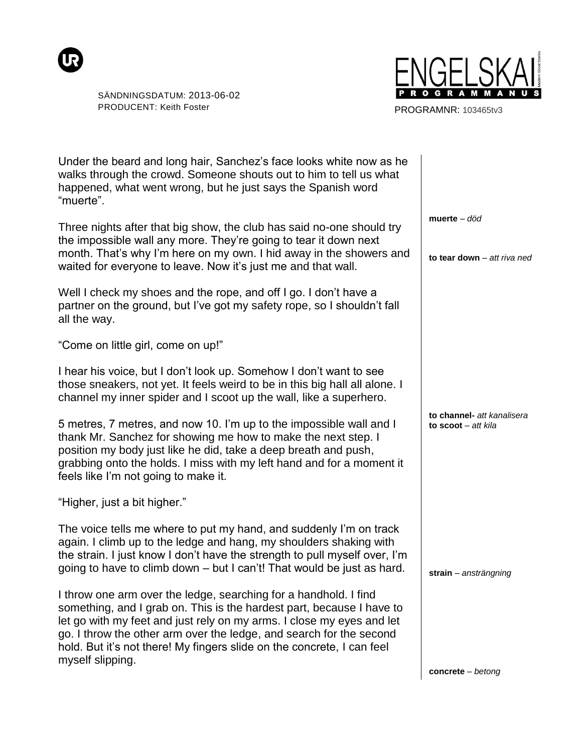



PROGRAMNR: 103465tv3

| Under the beard and long hair, Sanchez's face looks white now as he<br>walks through the crowd. Someone shouts out to him to tell us what<br>happened, what went wrong, but he just says the Spanish word<br>"muerte".                                                                                                                                                                  |                                                   |
|-----------------------------------------------------------------------------------------------------------------------------------------------------------------------------------------------------------------------------------------------------------------------------------------------------------------------------------------------------------------------------------------|---------------------------------------------------|
| Three nights after that big show, the club has said no-one should try<br>the impossible wall any more. They're going to tear it down next<br>month. That's why I'm here on my own. I hid away in the showers and<br>waited for everyone to leave. Now it's just me and that wall.                                                                                                       | muerte $-$ död<br>to tear down - att riva ned     |
| Well I check my shoes and the rope, and off I go. I don't have a<br>partner on the ground, but I've got my safety rope, so I shouldn't fall<br>all the way.                                                                                                                                                                                                                             |                                                   |
| "Come on little girl, come on up!"                                                                                                                                                                                                                                                                                                                                                      |                                                   |
| I hear his voice, but I don't look up. Somehow I don't want to see<br>those sneakers, not yet. It feels weird to be in this big hall all alone. I<br>channel my inner spider and I scoot up the wall, like a superhero.                                                                                                                                                                 |                                                   |
| 5 metres, 7 metres, and now 10. I'm up to the impossible wall and I<br>thank Mr. Sanchez for showing me how to make the next step. I<br>position my body just like he did, take a deep breath and push,<br>grabbing onto the holds. I miss with my left hand and for a moment it<br>feels like I'm not going to make it.                                                                | to channel- att kanalisera<br>to scoot - att kila |
| "Higher, just a bit higher."                                                                                                                                                                                                                                                                                                                                                            |                                                   |
| The voice tells me where to put my hand, and suddenly I'm on track<br>again. I climb up to the ledge and hang, my shoulders shaking with<br>the strain. I just know I don't have the strength to pull myself over, I'm<br>going to have to climb down - but I can't! That would be just as hard.                                                                                        | strain - ansträngning                             |
| I throw one arm over the ledge, searching for a handhold. I find<br>something, and I grab on. This is the hardest part, because I have to<br>let go with my feet and just rely on my arms. I close my eyes and let<br>go. I throw the other arm over the ledge, and search for the second<br>hold. But it's not there! My fingers slide on the concrete, I can feel<br>myself slipping. |                                                   |
|                                                                                                                                                                                                                                                                                                                                                                                         | $concrete - betong$                               |